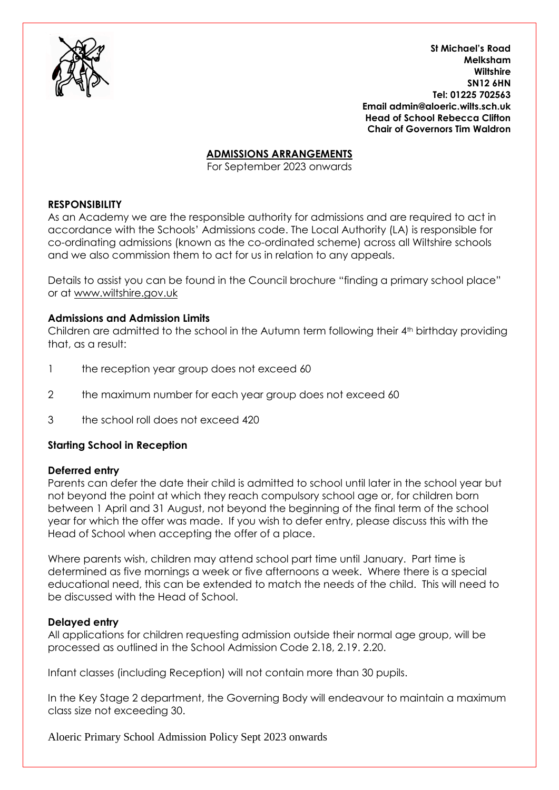

**St Michael's Road Melksham Wiltshire SN12 6HN Tel: 01225 702563 Email admin@aloeric.wilts.sch.uk Head of School Rebecca Clifton Chair of Governors Tim Waldron** 

## **ADMISSIONS ARRANGEMENTS**

For September 2023 onwards

### **RESPONSIBILITY**

As an Academy we are the responsible authority for admissions and are required to act in accordance with the Schools' Admissions code. The Local Authority (LA) is responsible for co-ordinating admissions (known as the co-ordinated scheme) across all Wiltshire schools and we also commission them to act for us in relation to any appeals.

Details to assist you can be found in the Council brochure "finding a primary school place" or at [www.wiltshire.gov.uk](http://www.wiltshire.gov.uk/)

#### **Admissions and Admission Limits**

Children are admitted to the school in the Autumn term following their 4<sup>th</sup> birthday providing that, as a result:

- 1 the reception year group does not exceed 60
- 2 the maximum number for each year group does not exceed 60
- 3 the school roll does not exceed 420

# **Starting School in Reception**

#### **Deferred entry**

Parents can defer the date their child is admitted to school until later in the school year but not beyond the point at which they reach compulsory school age or, for children born between 1 April and 31 August, not beyond the beginning of the final term of the school year for which the offer was made. If you wish to defer entry, please discuss this with the Head of School when accepting the offer of a place.

Where parents wish, children may attend school part time until January. Part time is determined as five mornings a week or five afternoons a week. Where there is a special educational need, this can be extended to match the needs of the child. This will need to be discussed with the Head of School.

#### **Delayed entry**

All applications for children requesting admission outside their normal age group, will be processed as outlined in the School Admission Code 2.18, 2.19. 2.20.

Infant classes (including Reception) will not contain more than 30 pupils.

In the Key Stage 2 department, the Governing Body will endeavour to maintain a maximum class size not exceeding 30.

Aloeric Primary School Admission Policy Sept 2023 onwards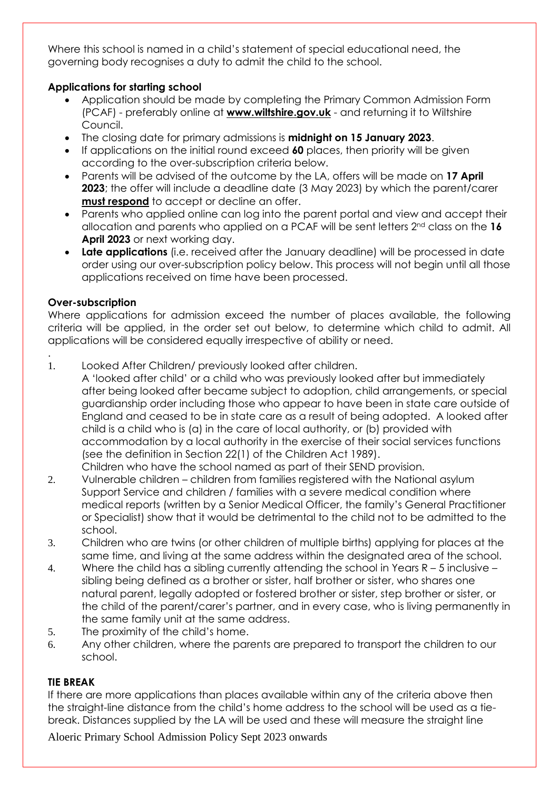Where this school is named in a child's statement of special educational need, the governing body recognises a duty to admit the child to the school.

# **Applications for starting school**

- Application should be made by completing the Primary Common Admission Form (PCAF) - preferably online at **[www.wiltshire.gov.uk](http://www.wiltshire.gov.uk/)** - and returning it to Wiltshire Council.
- The closing date for primary admissions is **midnight on 15 January 2023**.
- If applications on the initial round exceed **60** places, then priority will be given according to the over-subscription criteria below.
- Parents will be advised of the outcome by the LA, offers will be made on **17 April 2023**; the offer will include a deadline date (3 May 2023) by which the parent/carer **must respond** to accept or decline an offer.
- Parents who applied online can log into the parent portal and view and accept their allocation and parents who applied on a PCAF will be sent letters 2nd class on the **16 April 2023** or next working day.
- **Late applications** (i.e. received after the January deadline) will be processed in date order using our over-subscription policy below. This process will not begin until all those applications received on time have been processed.

# **Over-subscription**

.

Where applications for admission exceed the number of places available, the following criteria will be applied, in the order set out below, to determine which child to admit. All applications will be considered equally irrespective of ability or need.

1. Looked After Children/ previously looked after children.

A 'looked after child' or a child who was previously looked after but immediately after being looked after became subject to adoption, child arrangements, or special guardianship order including those who appear to have been in state care outside of England and ceased to be in state care as a result of being adopted. A looked after child is a child who is (a) in the care of local authority, or (b) provided with accommodation by a local authority in the exercise of their social services functions (see the definition in Section 22(1) of the Children Act 1989). Children who have the school named as part of their SEND provision.

- 2. Vulnerable children children from families registered with the National asylum Support Service and children / families with a severe medical condition where medical reports (written by a Senior Medical Officer, the family's General Practitioner or Specialist) show that it would be detrimental to the child not to be admitted to the school.
- 3. Children who are twins (or other children of multiple births) applying for places at the same time, and living at the same address within the designated area of the school.
- 4. Where the child has a sibling currently attending the school in Years R 5 inclusive sibling being defined as a brother or sister, half brother or sister, who shares one natural parent, legally adopted or fostered brother or sister, step brother or sister, or the child of the parent/carer's partner, and in every case, who is living permanently in the same family unit at the same address.
- 5. The proximity of the child's home.
- 6. Any other children, where the parents are prepared to transport the children to our school.

# **TIE BREAK**

If there are more applications than places available within any of the criteria above then the straight-line distance from the child's home address to the school will be used as a tiebreak. Distances supplied by the LA will be used and these will measure the straight line

Aloeric Primary School Admission Policy Sept 2023 onwards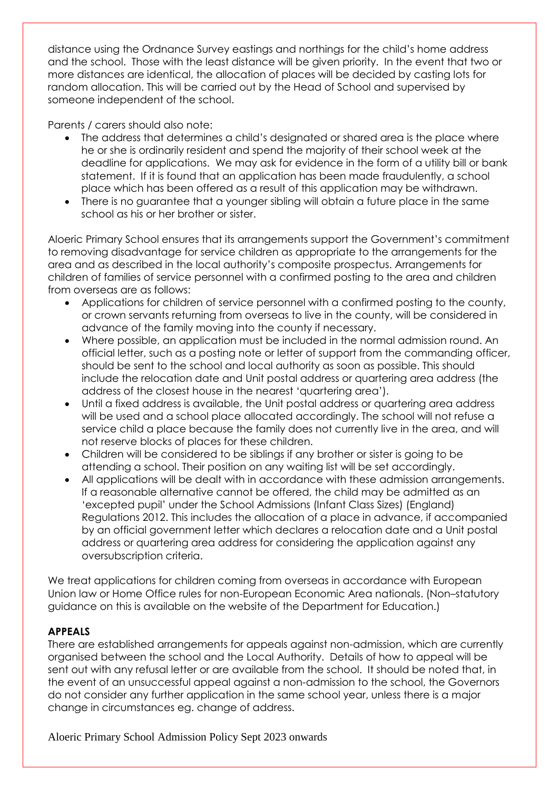distance using the Ordnance Survey eastings and northings for the child's home address and the school. Those with the least distance will be given priority. In the event that two or more distances are identical, the allocation of places will be decided by casting lots for random allocation. This will be carried out by the Head of School and supervised by someone independent of the school.

Parents / carers should also note:

- The address that determines a child's designated or shared area is the place where he or she is ordinarily resident and spend the majority of their school week at the deadline for applications. We may ask for evidence in the form of a utility bill or bank statement. If it is found that an application has been made fraudulently, a school place which has been offered as a result of this application may be withdrawn.
- There is no guarantee that a younger sibling will obtain a future place in the same school as his or her brother or sister.

Aloeric Primary School ensures that its arrangements support the Government's commitment to removing disadvantage for service children as appropriate to the arrangements for the area and as described in the local authority's composite prospectus. Arrangements for children of families of service personnel with a confirmed posting to the area and children from overseas are as follows:

- Applications for children of service personnel with a confirmed posting to the county, or crown servants returning from overseas to live in the county, will be considered in advance of the family moving into the county if necessary.
- Where possible, an application must be included in the normal admission round. An official letter, such as a posting note or letter of support from the commanding officer, should be sent to the school and local authority as soon as possible. This should include the relocation date and Unit postal address or quartering area address (the address of the closest house in the nearest 'quartering area').
- Until a fixed address is available, the Unit postal address or quartering area address will be used and a school place allocated accordingly. The school will not refuse a service child a place because the family does not currently live in the area, and will not reserve blocks of places for these children.
- Children will be considered to be siblings if any brother or sister is going to be attending a school. Their position on any waiting list will be set accordingly.
- All applications will be dealt with in accordance with these admission arrangements. If a reasonable alternative cannot be offered, the child may be admitted as an 'excepted pupil' under the School Admissions (Infant Class Sizes) (England) Regulations 2012. This includes the allocation of a place in advance, if accompanied by an official government letter which declares a relocation date and a Unit postal address or quartering area address for considering the application against any oversubscription criteria.

We treat applications for children coming from overseas in accordance with European Union law or Home Office rules for non-European Economic Area nationals. (Non–statutory guidance on this is available on the website of the Department for Education.)

# **APPEALS**

There are established arrangements for appeals against non-admission, which are currently organised between the school and the Local Authority. Details of how to appeal will be sent out with any refusal letter or are available from the school. It should be noted that, in the event of an unsuccessful appeal against a non-admission to the school, the Governors do not consider any further application in the same school year, unless there is a major change in circumstances eg. change of address.

Aloeric Primary School Admission Policy Sept 2023 onwards